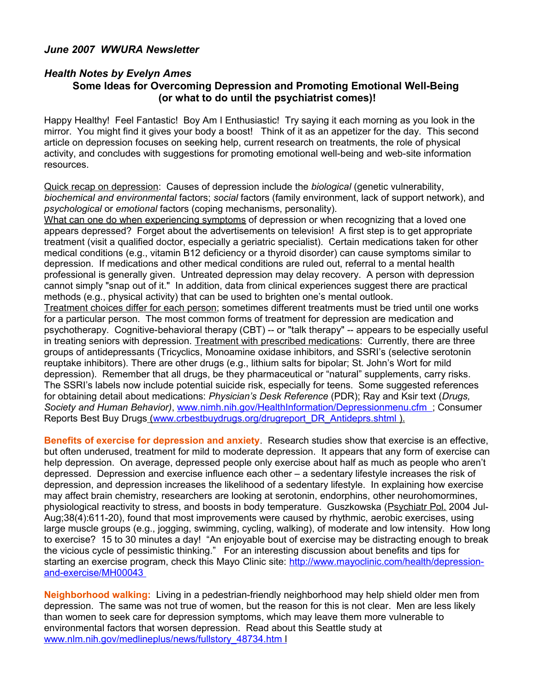## *June 2007 WWURA Newsletter*

## *Health Notes by Evelyn Ames* **Some Ideas for Overcoming Depression and Promoting Emotional Well-Being (or what to do until the psychiatrist comes)!**

Happy Healthy! Feel Fantastic! Boy Am I Enthusiastic! Try saying it each morning as you look in the mirror. You might find it gives your body a boost! Think of it as an appetizer for the day. This second article on depression focuses on seeking help, current research on treatments, the role of physical activity, and concludes with suggestions for promoting emotional well-being and web-site information resources.

Quick recap on depression: Causes of depression include the *biological* (genetic vulnerability, *biochemical and environmental* factors; *social* factors (family environment, lack of support network), and *psychological* or *emotional* factors (coping mechanisms, personality).

What can one do when experiencing symptoms of depression or when recognizing that a loved one appears depressed? Forget about the advertisements on television! A first step is to get appropriate treatment (visit a qualified doctor, especially a geriatric specialist). Certain medications taken for other medical conditions (e.g., vitamin B12 deficiency or a thyroid disorder) can cause symptoms similar to depression. If medications and other medical conditions are ruled out, referral to a mental health professional is generally given. Untreated depression may delay recovery. A person with depression cannot simply "snap out of it." In addition, data from clinical experiences suggest there are practical methods (e.g., physical activity) that can be used to brighten one's mental outlook. Treatment choices differ for each person; sometimes different treatments must be tried until one works for a particular person. The most common forms of treatment for depression are medication and psychotherapy. Cognitive-behavioral therapy (CBT) -- or "talk therapy" -- appears to be especially useful

in treating seniors with depression. Treatment with prescribed medications: Currently, there are three groups of antidepressants (Tricyclics, Monoamine oxidase inhibitors, and SSRI's (selective serotonin reuptake inhibitors). There are other drugs (e.g., lithium salts for bipolar; St. John's Wort for mild depression). Remember that all drugs, be they pharmaceutical or "natural" supplements, carry risks. The SSRI's labels now include potential suicide risk, especially for teens. Some suggested references for obtaining detail about medications: *Physician's Desk Reference* (PDR); Ray and Ksir text (*Drugs, Society and Human Behavior)*, [www.nimh.nih.gov/HealthInformation/Depressionmenu.cfm](http://www.nimh.nih.gov/HealthInformation/Depressionmenu.cfm) ; Consumer Reports Best Buy Drugs [\( www.crbestbuydrugs.org/drugreport\\_DR\\_Antideprs.shtml](http://www.crbestbuydrugs.org/drugreport_DR_Antideprs.shtml) ).

**Benefits of exercise for depression and anxiety**. Research studies show that exercise is an effective, but often underused, treatment for mild to moderate depression. It appears that any form of exercise can help depression. On average, depressed people only exercise about half as much as people who aren't depressed. Depression and exercise influence each other – a sedentary lifestyle increases the risk of depression, and depression increases the likelihood of a sedentary lifestyle. In explaining how exercise may affect brain chemistry, researchers are looking at serotonin, endorphins, other neurohomormines, physiological reactivity to stress, and boosts in body temperature. Guszkowska [\(Psychiatr Pol.](javascript:AL_get(this,%20) 2004 Jul-Aug;38(4):611-20), found that most improvements were caused by rhythmic, aerobic exercises, using large muscle groups (e.g., jogging, swimming, cycling, walking), of moderate and low intensity. How long to exercise? 15 to 30 minutes a day! "An enjoyable bout of exercise may be distracting enough to break the vicious cycle of pessimistic thinking." For an interesting discussion about benefits and tips for starting an exercise program, check this Mayo Clinic site: [http://www.mayoclinic.com/health/depression](http://www.mayoclinic.com/health/depression-and-exercise/MH00043)  [and-exercise/MH00043](http://www.mayoclinic.com/health/depression-and-exercise/MH00043)

**Neighborhood walking:** Living in a pedestrian-friendly neighborhood may help shield older men from depression. The same was not true of women, but the reason for this is not clear. Men are less likely than women to seek care for depression symptoms, which may leave them more vulnerable to environmental factors that worsen depression. Read about this Seattle study at  [www.nlm.nih.gov/medlineplus/news/fullstory\\_48734.htm](http://www.nlm.nih.gov/medlineplus/news/fullstory_48734.htm) l